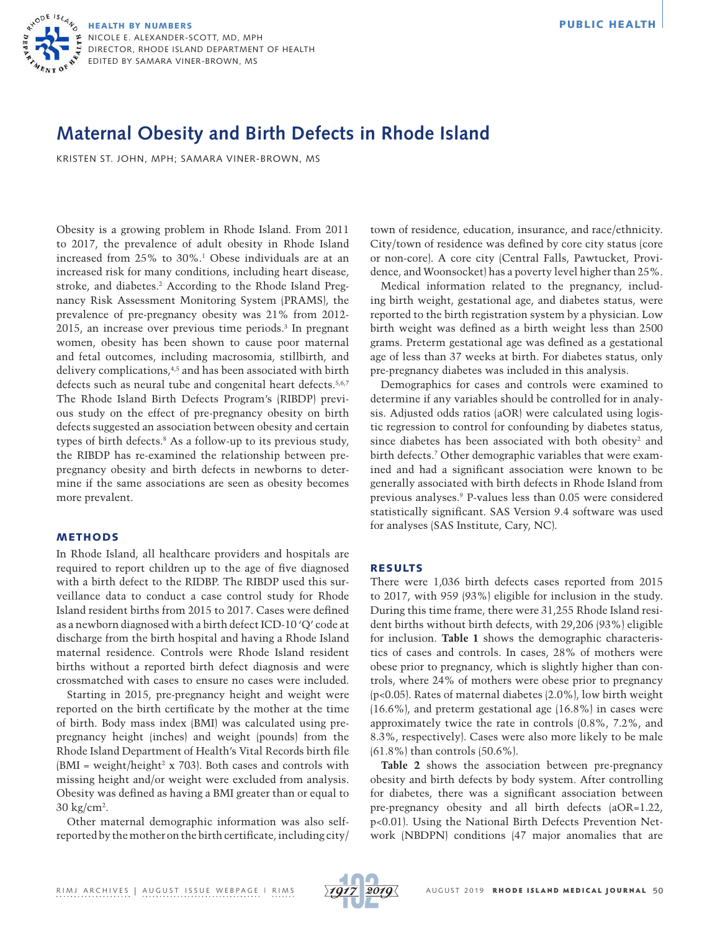

# **Maternal Obesity and Birth Defects in Rhode Island**

KRISTEN ST. JOHN, MPH; SAMARA VINER-BROWN, MS

Obesity is a growing problem in Rhode Island. From 2011 to 2017, the prevalence of adult obesity in Rhode Island increased from 25% to 30%.1 Obese individuals are at an increased risk for many conditions, including heart disease, stroke, and diabetes.2 According to the Rhode Island Pregnancy Risk Assessment Monitoring System (PRAMS), the prevalence of pre-pregnancy obesity was 21% from 2012- 2015, an increase over previous time periods.3 In pregnant women, obesity has been shown to cause poor maternal and fetal outcomes, including macrosomia, stillbirth, and delivery complications,4,5 and has been associated with birth defects such as neural tube and congenital heart defects.<sup>5,6,7</sup> The Rhode Island Birth Defects Program's (RIBDP) previous study on the effect of pre-pregnancy obesity on birth defects suggested an association between obesity and certain types of birth defects.8 As a follow-up to its previous study, the RIBDP has re-examined the relationship between prepregnancy obesity and birth defects in newborns to determine if the same associations are seen as obesity becomes more prevalent.

### METHODS

In Rhode Island, all healthcare providers and hospitals are required to report children up to the age of five diagnosed with a birth defect to the RIDBP. The RIBDP used this surveillance data to conduct a case control study for Rhode Island resident births from 2015 to 2017. Cases were defined as a newborn diagnosed with a birth defect ICD-10 'Q' code at discharge from the birth hospital and having a Rhode Island maternal residence. Controls were Rhode Island resident births without a reported birth defect diagnosis and were crossmatched with cases to ensure no cases were included.

Starting in 2015, pre-pregnancy height and weight were reported on the birth certificate by the mother at the time of birth. Body mass index (BMI) was calculated using prepregnancy height (inches) and weight (pounds) from the Rhode Island Department of Health's Vital Records birth file  $(BMI = weight/height<sup>2</sup> x 703)$ . Both cases and controls with missing height and/or weight were excluded from analysis. Obesity was defined as having a BMI greater than or equal to 30 kg/cm2 .

Other maternal demographic information was also selfreported by the mother on the birth certificate, including city/ town of residence, education, insurance, and race/ethnicity. City/town of residence was defined by core city status (core or non-core). A core city (Central Falls, Pawtucket, Providence, and Woonsocket) has a poverty level higher than 25%.

Medical information related to the pregnancy, including birth weight, gestational age, and diabetes status, were reported to the birth registration system by a physician. Low birth weight was defined as a birth weight less than 2500 grams. Preterm gestational age was defined as a gestational age of less than 37 weeks at birth. For diabetes status, only pre-pregnancy diabetes was included in this analysis.

Demographics for cases and controls were examined to determine if any variables should be controlled for in analysis. Adjusted odds ratios (aOR) were calculated using logistic regression to control for confounding by diabetes status, since diabetes has been associated with both obesity<sup>2</sup> and birth defects.7 Other demographic variables that were examined and had a significant association were known to be generally associated with birth defects in Rhode Island from previous analyses.9 P-values less than 0.05 were considered statistically significant. SAS Version 9.4 software was used for analyses (SAS Institute, Cary, NC).

#### RESULTS

There were 1,036 birth defects cases reported from 2015 to 2017, with 959 (93%) eligible for inclusion in the study. During this time frame, there were 31,255 Rhode Island resident births without birth defects, with 29,206 (93%) eligible for inclusion. **Table 1** shows the demographic characteristics of cases and controls. In cases, 28% of mothers were obese prior to pregnancy, which is slightly higher than controls, where 24% of mothers were obese prior to pregnancy (p<0.05). Rates of maternal diabetes (2.0%), low birth weight (16.6%), and preterm gestational age (16.8%) in cases were approximately twice the rate in controls (0.8%, 7.2%, and 8.3%, respectively). Cases were also more likely to be male (61.8%) than controls (50.6%).

**Table 2** shows the association between pre-pregnancy obesity and birth defects by body system. After controlling for diabetes, there was a significant association between pre-pregnancy obesity and all birth defects (aOR=1.22, p<0.01). Using the National Birth Defects Prevention Network (NBDPN) conditions (47 major anomalies that are

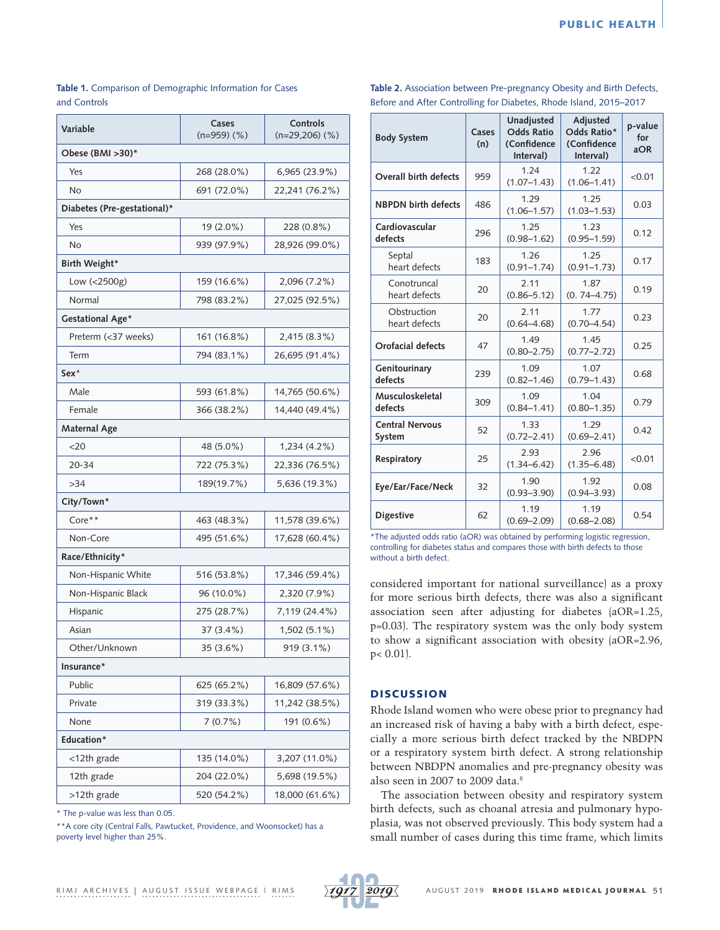## **Table 1.** Comparison of Demographic Information for Cases and Controls

| Variable                    | Cases<br>$(n=959)$ (%) | Controls<br>$(n=29,206)$ $(\%)$ |  |  |  |  |  |
|-----------------------------|------------------------|---------------------------------|--|--|--|--|--|
| Obese (BMI >30)*            |                        |                                 |  |  |  |  |  |
| Yes                         | 268 (28.0%)            | 6,965 (23.9%)                   |  |  |  |  |  |
| No                          | 691 (72.0%)            | 22,241 (76.2%)                  |  |  |  |  |  |
| Diabetes (Pre-gestational)* |                        |                                 |  |  |  |  |  |
| Yes                         | 19 (2.0%)              | 228 (0.8%)                      |  |  |  |  |  |
| No                          | 939 (97.9%)            | 28,926 (99.0%)                  |  |  |  |  |  |
| Birth Weight*               |                        |                                 |  |  |  |  |  |
| Low (<2500g)                | 159 (16.6%)            | 2,096 (7.2%)                    |  |  |  |  |  |
| Normal                      | 798 (83.2%)            | 27,025 (92.5%)                  |  |  |  |  |  |
| Gestational Age*            |                        |                                 |  |  |  |  |  |
| Preterm (<37 weeks)         | 161 (16.8%)            | 2,415 (8.3%)                    |  |  |  |  |  |
| Term                        | 794 (83.1%)            | 26,695 (91.4%)                  |  |  |  |  |  |
| $Sex*$                      |                        |                                 |  |  |  |  |  |
| Male                        | 593 (61.8%)            | 14,765 (50.6%)                  |  |  |  |  |  |
| Female                      | 366 (38.2%)            | 14,440 (49.4%)                  |  |  |  |  |  |
| Maternal Age                |                        |                                 |  |  |  |  |  |
| $<$ 20                      | 48 (5.0%)              | 1,234 (4.2%)                    |  |  |  |  |  |
| $20 - 34$                   | 722 (75.3%)            | 22,336 (76.5%)                  |  |  |  |  |  |
| >34                         | 189(19.7%)             | 5,636 (19.3%)                   |  |  |  |  |  |
| City/Town*                  |                        |                                 |  |  |  |  |  |
| $Core**$                    | 463 (48.3%)            | 11,578 (39.6%)                  |  |  |  |  |  |
| Non-Core                    | 495 (51.6%)            | 17,628 (60.4%)                  |  |  |  |  |  |
| Race/Ethnicity*             |                        |                                 |  |  |  |  |  |
| Non-Hispanic White          | 516 (53.8%)            | 17,346 (59.4%)                  |  |  |  |  |  |
| Non-Hispanic Black          | 96 (10.0%)             | 2,320 (7.9%)                    |  |  |  |  |  |
| Hispanic                    | 275 (28.7%)            | 7,119 (24.4%)                   |  |  |  |  |  |
| Asian                       | 37 (3.4%)              | 1,502 (5.1%)                    |  |  |  |  |  |
| Other/Unknown               | 35 (3.6%)              | 919 (3.1%)                      |  |  |  |  |  |
| Insurance*                  |                        |                                 |  |  |  |  |  |
| Public                      | 625 (65.2%)            | 16,809 (57.6%)                  |  |  |  |  |  |
| Private                     | 319 (33.3%)            | 11,242 (38.5%)                  |  |  |  |  |  |
| None                        | 7(0.7%)                | 191 (0.6%)                      |  |  |  |  |  |
| Education*                  |                        |                                 |  |  |  |  |  |
| <12th grade                 | 135 (14.0%)            | 3,207 (11.0%)                   |  |  |  |  |  |
| 12th grade                  | 204 (22.0%)            | 5,698 (19.5%)                   |  |  |  |  |  |
| >12th grade                 | 520 (54.2%)            | 18,000 (61.6%)                  |  |  |  |  |  |

\* The p-value was less than 0.05.

\*\*A core city (Central Falls, Pawtucket, Providence, and Woonsocket) has a poverty level higher than 25%.

|                                                                       |  | $\blacksquare$ |  |  |  |  |
|-----------------------------------------------------------------------|--|----------------|--|--|--|--|
| Before and After Controlling for Diabetes, Rhode Island, 2015-2017    |  |                |  |  |  |  |
| Table 2. Association between Pre-pregnancy Obesity and Birth Defects, |  |                |  |  |  |  |

| <b>Body System</b>               | Cases<br>(n) | Unadjusted<br><b>Odds Ratio</b><br>(Confidence<br>Interval) | Adjusted<br>Odds Ratio*<br>(Confidence<br>Interval) | p-value<br>for<br>aOR |
|----------------------------------|--------------|-------------------------------------------------------------|-----------------------------------------------------|-----------------------|
| Overall birth defects            | 959          | 1.24<br>$(1.07 - 1.43)$                                     | 1.22<br>$(1.06 - 1.41)$                             | < 0.01                |
| <b>NBPDN</b> birth defects       | 486          | 1.29<br>$(1.06 - 1.57)$                                     | 1.25<br>$(1.03 - 1.53)$                             | 0.03                  |
| Cardiovascular<br>defects        | 296          | 1.25<br>$(0.98 - 1.62)$                                     | 1.23<br>$(0.95 - 1.59)$                             | 0.12                  |
| Septal<br>heart defects          | 183          | 1.26<br>$(0.91 - 1.74)$                                     | 1.25<br>$(0.91 - 1.73)$                             | 0.17                  |
| Conotruncal<br>heart defects     | 20           | 2.11<br>$(0.86 - 5.12)$                                     | 1.87<br>$(0.74 - 4.75)$                             | 0.19                  |
| Obstruction<br>heart defects     | 20           | 2.11<br>$(0.64 - 4.68)$                                     | 1.77<br>$(0.70 - 4.54)$                             | 0.23                  |
| Orofacial defects                | 47           | 1.49<br>$(0.80 - 2.75)$                                     | 1.45<br>$(0.77 - 2.72)$                             | 0.25                  |
| Genitourinary<br>defects         | 239          | 1.09<br>$(0.82 - 1.46)$                                     | 1.07<br>$(0.79 - 1.43)$                             | 0.68                  |
| Musculoskeletal<br>defects       | 309          | 1.09<br>$(0.84 - 1.41)$                                     | 1.04<br>$(0.80 - 1.35)$                             | 0.79                  |
| <b>Central Nervous</b><br>System | 52           | 1.33<br>$(0.72 - 2.41)$                                     | 1.29<br>$(0.69 - 2.41)$                             | 0.42                  |
| Respiratory                      | 25           | 2.93<br>$(1.34 - 6.42)$                                     | 2.96<br>$(1.35 - 6.48)$                             | < 0.01                |
| Eye/Ear/Face/Neck                | 32           | 1.90<br>$(0.93 - 3.90)$                                     | 1.92<br>$(0.94 - 3.93)$                             | 0.08                  |
| <b>Digestive</b>                 | 62           | 1.19<br>$(0.69 - 2.09)$                                     | 1.19<br>$(0.68 - 2.08)$                             | 0.54                  |

\*The adjusted odds ratio (aOR) was obtained by performing logistic regression, controlling for diabetes status and compares those with birth defects to those without a birth defect.

considered important for national surveillance) as a proxy for more serious birth defects, there was also a significant association seen after adjusting for diabetes (aOR=1.25, p=0.03). The respiratory system was the only body system to show a significant association with obesity (aOR=2.96, p< 0.01).

## **DISCUSSION**

Rhode Island women who were obese prior to pregnancy had an increased risk of having a baby with a birth defect, especially a more serious birth defect tracked by the NBDPN or a respiratory system birth defect. A strong relationship between NBDPN anomalies and pre-pregnancy obesity was also seen in 2007 to 2009 data.<sup>8</sup>

The association between obesity and respiratory system birth defects, such as choanal atresia and pulmonary hypoplasia, was not observed previously. This body system had a small number of cases during this time frame, which limits